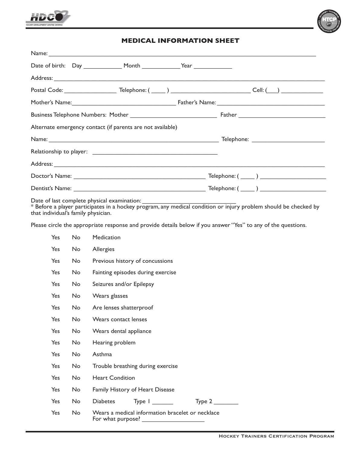



## **MEDICAL INFORMATION SHEET**

| Alternate emergency contact (if parents are not available) |                                           |
|------------------------------------------------------------|-------------------------------------------|
|                                                            | Telephone: ______________________________ |
|                                                            |                                           |
|                                                            |                                           |
|                                                            |                                           |
|                                                            |                                           |
| Date of last complete physical examination:                |                                           |

the order of the complete physical examination.<br>\* Before a player participates in a hockey program, any medical condition or injury problem should be checked by<br>that individual's family physician.

Please circle the appropriate response and provide details below if you answer "Yes" to any of the questions.

| Yes        | No  | Medication                                                              |
|------------|-----|-------------------------------------------------------------------------|
| Yes        | No  | Allergies                                                               |
| Yes        | No  | Previous history of concussions                                         |
| Yes        | No. | Fainting episodes during exercise                                       |
| Yes        | No  | Seizures and/or Epilepsy                                                |
| Yes        | No  | Wears glasses                                                           |
| Yes        | No  | Are lenses shatterproof                                                 |
| <b>Yes</b> | No  | Wears contact lenses                                                    |
| Yes        | No  | Wears dental appliance                                                  |
| <b>Yes</b> | No. | Hearing problem                                                         |
| Yes        | No  | Asthma                                                                  |
| Yes        | No  | Trouble breathing during exercise                                       |
| Yes        | No  | <b>Heart Condition</b>                                                  |
| <b>Yes</b> | No. | Family History of Heart Disease                                         |
| <b>Yes</b> | No. | <b>Diabetes</b><br>Type 2                                               |
| Yes        | No  | Wears a medical information bracelet or necklace<br>For what purpose? _ |